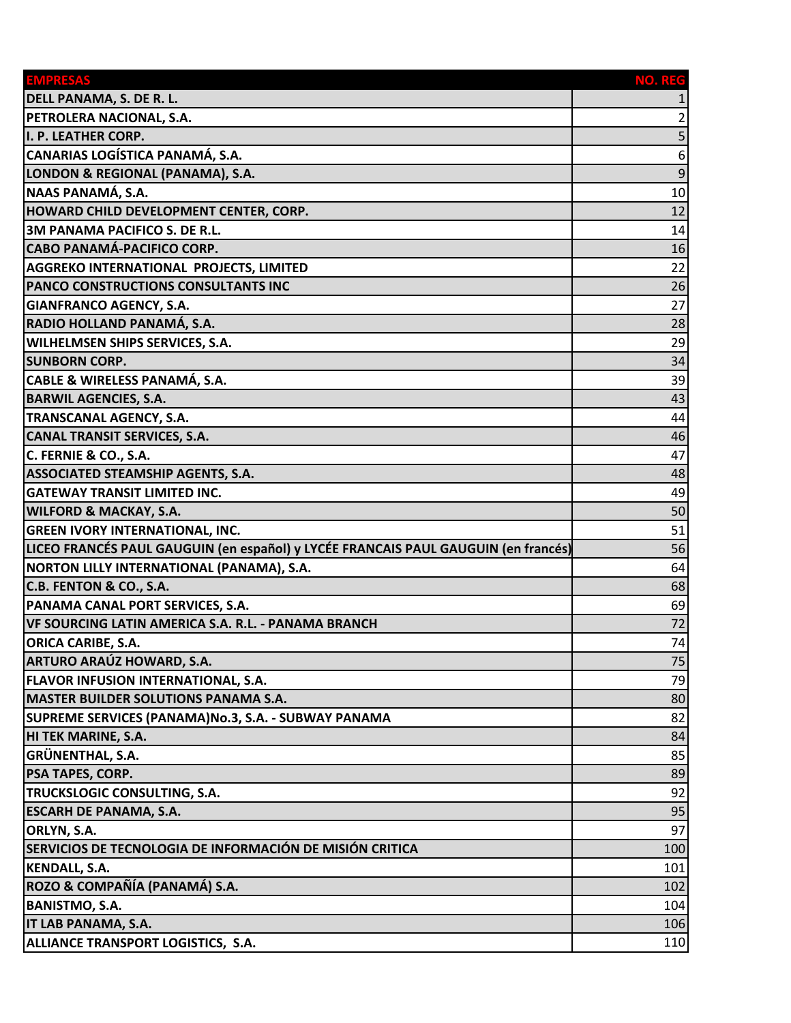| <b>EMPRESAS</b>                                                                    | NO. REG |
|------------------------------------------------------------------------------------|---------|
| DELL PANAMA, S. DE R. L.                                                           |         |
| PETROLERA NACIONAL, S.A.                                                           | 2       |
| I. P. LEATHER CORP.                                                                | 5       |
| CANARIAS LOGÍSTICA PANAMÁ, S.A.                                                    | 6       |
| LONDON & REGIONAL (PANAMA), S.A.                                                   | 9       |
| NAAS PANAMÁ, S.A.                                                                  | 10      |
| <b>HOWARD CHILD DEVELOPMENT CENTER, CORP.</b>                                      | 12      |
| <b>3M PANAMA PACIFICO S. DE R.L.</b>                                               | 14      |
| CABO PANAMÁ-PACIFICO CORP.                                                         | 16      |
| <b>AGGREKO INTERNATIONAL PROJECTS, LIMITED</b>                                     | 22      |
| PANCO CONSTRUCTIONS CONSULTANTS INC                                                | 26      |
| <b>GIANFRANCO AGENCY, S.A.</b>                                                     | 27      |
| RADIO HOLLAND PANAMÁ, S.A.                                                         | 28      |
| <b>WILHELMSEN SHIPS SERVICES, S.A.</b>                                             | 29      |
| <b>SUNBORN CORP.</b>                                                               | 34      |
| CABLE & WIRELESS PANAMÁ, S.A.                                                      | 39      |
| <b>BARWIL AGENCIES, S.A.</b>                                                       | 43      |
| TRANSCANAL AGENCY, S.A.                                                            | 44      |
| <b>CANAL TRANSIT SERVICES, S.A.</b>                                                | 46      |
| C. FERNIE & CO., S.A.                                                              | 47      |
| <b>ASSOCIATED STEAMSHIP AGENTS, S.A.</b>                                           | 48      |
| <b>GATEWAY TRANSIT LIMITED INC.</b>                                                | 49      |
| <b>WILFORD &amp; MACKAY, S.A.</b>                                                  | 50      |
| <b>GREEN IVORY INTERNATIONAL, INC.</b>                                             | 51      |
| LICEO FRANCÉS PAUL GAUGUIN (en español) y LYCÉE FRANCAIS PAUL GAUGUIN (en francés) | 56      |
| NORTON LILLY INTERNATIONAL (PANAMA), S.A.                                          | 64      |
| C.B. FENTON & CO., S.A.                                                            | 68      |
| PANAMA CANAL PORT SERVICES, S.A.                                                   | 69      |
| VF SOURCING LATIN AMERICA S.A. R.L. - PANAMA BRANCH                                | 72      |
| <b>ORICA CARIBE, S.A.</b>                                                          | 74      |
| <b>ARTURO ARAÚZ HOWARD, S.A.</b>                                                   | 75      |
| <b>FLAVOR INFUSION INTERNATIONAL, S.A.</b>                                         | 79      |
| <b>MASTER BUILDER SOLUTIONS PANAMA S.A.</b>                                        | 80      |
| SUPREME SERVICES (PANAMA)No.3, S.A. - SUBWAY PANAMA                                | 82      |
| HI TEK MARINE, S.A.                                                                | 84      |
| <b>GRÜNENTHAL, S.A.</b>                                                            | 85      |
| <b>PSA TAPES, CORP.</b>                                                            | 89      |
| TRUCKSLOGIC CONSULTING, S.A.                                                       | 92      |
| <b>ESCARH DE PANAMA, S.A.</b>                                                      | 95      |
| ORLYN, S.A.                                                                        | 97      |
| SERVICIOS DE TECNOLOGIA DE INFORMACIÓN DE MISIÓN CRITICA                           | 100     |
| <b>KENDALL, S.A.</b>                                                               | 101     |
| ROZO & COMPAÑÍA (PANAMÁ) S.A.                                                      | 102     |
| <b>BANISTMO, S.A.</b>                                                              | 104     |
| IT LAB PANAMA, S.A.                                                                | 106     |
| <b>ALLIANCE TRANSPORT LOGISTICS, S.A.</b>                                          | 110     |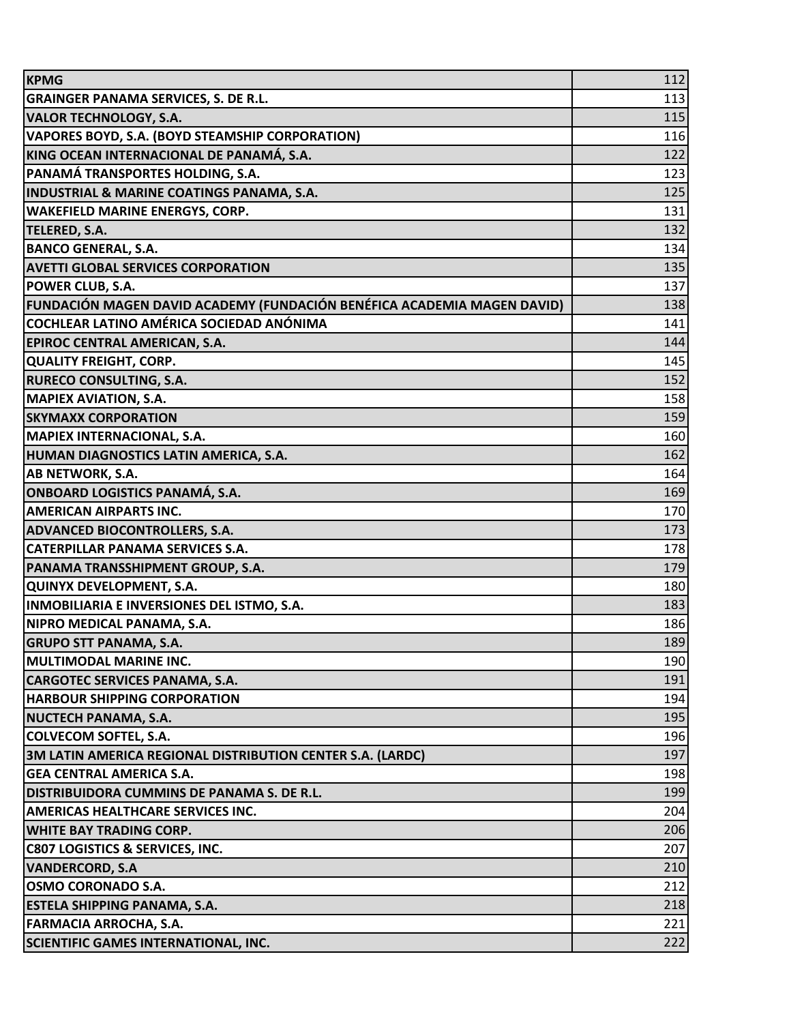| <b>KPMG</b>                                                             | 112 |
|-------------------------------------------------------------------------|-----|
| <b>GRAINGER PANAMA SERVICES, S. DE R.L.</b>                             | 113 |
| <b>VALOR TECHNOLOGY, S.A.</b>                                           | 115 |
| <b>VAPORES BOYD, S.A. (BOYD STEAMSHIP CORPORATION)</b>                  | 116 |
| KING OCEAN INTERNACIONAL DE PANAMÁ, S.A.                                | 122 |
| PANAMÁ TRANSPORTES HOLDING, S.A.                                        | 123 |
| <b>INDUSTRIAL &amp; MARINE COATINGS PANAMA, S.A.</b>                    | 125 |
| <b>WAKEFIELD MARINE ENERGYS, CORP.</b>                                  | 131 |
| <b>TELERED, S.A.</b>                                                    | 132 |
| <b>BANCO GENERAL, S.A.</b>                                              | 134 |
| <b>AVETTI GLOBAL SERVICES CORPORATION</b>                               | 135 |
| <b>POWER CLUB, S.A.</b>                                                 | 137 |
| FUNDACIÓN MAGEN DAVID ACADEMY (FUNDACIÓN BENÉFICA ACADEMIA MAGEN DAVID) | 138 |
| COCHLEAR LATINO AMÉRICA SOCIEDAD ANÓNIMA                                | 141 |
| <b>EPIROC CENTRAL AMERICAN, S.A.</b>                                    | 144 |
| <b>QUALITY FREIGHT, CORP.</b>                                           | 145 |
| <b>RURECO CONSULTING, S.A.</b>                                          | 152 |
| <b>MAPIEX AVIATION, S.A.</b>                                            | 158 |
| <b>SKYMAXX CORPORATION</b>                                              | 159 |
| <b>MAPIEX INTERNACIONAL, S.A.</b>                                       | 160 |
| HUMAN DIAGNOSTICS LATIN AMERICA, S.A.                                   | 162 |
| <b>AB NETWORK, S.A.</b>                                                 | 164 |
| <b>ONBOARD LOGISTICS PANAMÁ, S.A.</b>                                   | 169 |
| <b>AMERICAN AIRPARTS INC.</b>                                           | 170 |
| <b>ADVANCED BIOCONTROLLERS, S.A.</b>                                    | 173 |
| <b>CATERPILLAR PANAMA SERVICES S.A.</b>                                 | 178 |
| PANAMA TRANSSHIPMENT GROUP, S.A.                                        | 179 |
| QUINYX DEVELOPMENT, S.A.                                                | 180 |
| INMOBILIARIA E INVERSIONES DEL ISTMO, S.A.                              | 183 |
| NIPRO MEDICAL PANAMA, S.A.                                              | 186 |
| <b>GRUPO STT PANAMA, S.A.</b>                                           | 189 |
| <b>IMULTIMODAL MARINE INC.</b>                                          | 190 |
| <b>CARGOTEC SERVICES PANAMA, S.A.</b>                                   | 191 |
| <b>HARBOUR SHIPPING CORPORATION</b>                                     | 194 |
| <b>NUCTECH PANAMA, S.A.</b>                                             | 195 |
| <b>COLVECOM SOFTEL, S.A.</b>                                            | 196 |
| 3M LATIN AMERICA REGIONAL DISTRIBUTION CENTER S.A. (LARDC)              | 197 |
| <b>GEA CENTRAL AMERICA S.A.</b>                                         | 198 |
| DISTRIBUIDORA CUMMINS DE PANAMA S. DE R.L.                              | 199 |
| AMERICAS HEALTHCARE SERVICES INC.                                       | 204 |
| <b>WHITE BAY TRADING CORP.</b>                                          | 206 |
| <b>C807 LOGISTICS &amp; SERVICES, INC.</b>                              | 207 |
| <b>VANDERCORD, S.A</b>                                                  | 210 |
| <b>OSMO CORONADO S.A.</b>                                               | 212 |
| <b>ESTELA SHIPPING PANAMA, S.A.</b>                                     | 218 |
| <b>FARMACIA ARROCHA, S.A.</b>                                           | 221 |
| <b>SCIENTIFIC GAMES INTERNATIONAL, INC.</b>                             | 222 |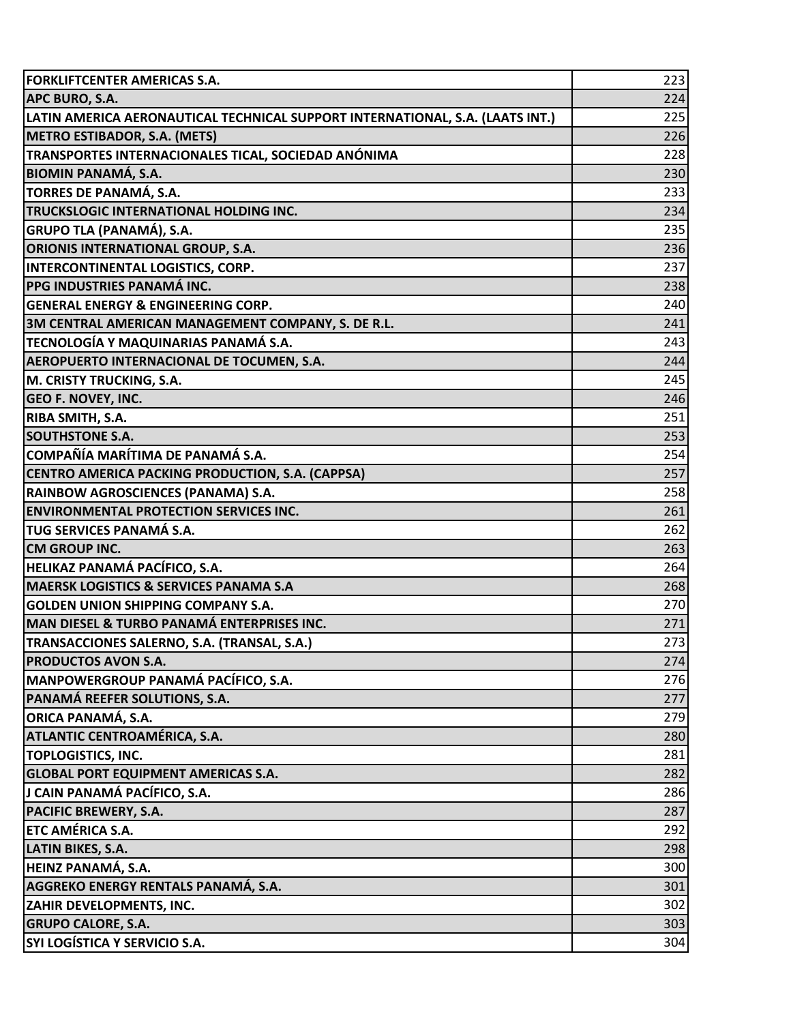| <b>FORKLIFTCENTER AMERICAS S.A.</b>                                           | 223 |
|-------------------------------------------------------------------------------|-----|
| <b>APC BURO, S.A.</b>                                                         | 224 |
| LATIN AMERICA AERONAUTICAL TECHNICAL SUPPORT INTERNATIONAL, S.A. (LAATS INT.) | 225 |
| <b>METRO ESTIBADOR, S.A. (METS)</b>                                           | 226 |
| TRANSPORTES INTERNACIONALES TICAL, SOCIEDAD ANÓNIMA                           | 228 |
| <b>BIOMIN PANAMÁ, S.A.</b>                                                    | 230 |
| TORRES DE PANAMÁ, S.A.                                                        | 233 |
| TRUCKSLOGIC INTERNATIONAL HOLDING INC.                                        | 234 |
| <b>GRUPO TLA (PANAMÁ), S.A.</b>                                               | 235 |
| ORIONIS INTERNATIONAL GROUP, S.A.                                             | 236 |
| <b>INTERCONTINENTAL LOGISTICS, CORP.</b>                                      | 237 |
| <b>PPG INDUSTRIES PANAMÁ INC.</b>                                             | 238 |
| <b>GENERAL ENERGY &amp; ENGINEERING CORP.</b>                                 | 240 |
| 3M CENTRAL AMERICAN MANAGEMENT COMPANY, S. DE R.L.                            | 241 |
| TECNOLOGÍA Y MAQUINARIAS PANAMÁ S.A.                                          | 243 |
| <b>AEROPUERTO INTERNACIONAL DE TOCUMEN, S.A.</b>                              | 244 |
| M. CRISTY TRUCKING, S.A.                                                      | 245 |
| <b>GEO F. NOVEY, INC.</b>                                                     | 246 |
| <b>RIBA SMITH, S.A.</b>                                                       | 251 |
| <b>SOUTHSTONE S.A.</b>                                                        | 253 |
| COMPAÑÍA MARÍTIMA DE PANAMÁ S.A.                                              | 254 |
| CENTRO AMERICA PACKING PRODUCTION, S.A. (CAPPSA)                              | 257 |
| RAINBOW AGROSCIENCES (PANAMA) S.A.                                            | 258 |
| <b>ENVIRONMENTAL PROTECTION SERVICES INC.</b>                                 | 261 |
| TUG SERVICES PANAMÁ S.A.                                                      | 262 |
| <b>CM GROUP INC.</b>                                                          | 263 |
| HELIKAZ PANAMÁ PACÍFICO, S.A.                                                 | 264 |
| <b>MAERSK LOGISTICS &amp; SERVICES PANAMA S.A</b>                             | 268 |
| <b>GOLDEN UNION SHIPPING COMPANY S.A.</b>                                     | 270 |
| <b>MAN DIESEL &amp; TURBO PANAMÁ ENTERPRISES INC.</b>                         | 271 |
| TRANSACCIONES SALERNO, S.A. (TRANSAL, S.A.)                                   | 273 |
| <b>PRODUCTOS AVON S.A.</b>                                                    | 274 |
| MANPOWERGROUP PANAMÁ PACÍFICO, S.A.                                           | 276 |
| PANAMÁ REEFER SOLUTIONS, S.A.                                                 | 277 |
| ORICA PANAMÁ, S.A.                                                            | 279 |
| ATLANTIC CENTROAMÉRICA, S.A.                                                  | 280 |
| <b>TOPLOGISTICS, INC.</b>                                                     | 281 |
| <b>GLOBAL PORT EQUIPMENT AMERICAS S.A.</b>                                    | 282 |
| J CAIN PANAMÁ PACÍFICO, S.A.                                                  | 286 |
| <b>PACIFIC BREWERY, S.A.</b>                                                  | 287 |
| ETC AMÉRICA S.A.                                                              | 292 |
| <b>LATIN BIKES, S.A.</b>                                                      | 298 |
| HEINZ PANAMÁ, S.A.                                                            | 300 |
| AGGREKO ENERGY RENTALS PANAMÁ, S.A.                                           | 301 |
| ZAHIR DEVELOPMENTS, INC.                                                      | 302 |
| <b>GRUPO CALORE, S.A.</b><br>SYI LOGÍSTICA Y SERVICIO S.A.                    | 303 |
|                                                                               | 304 |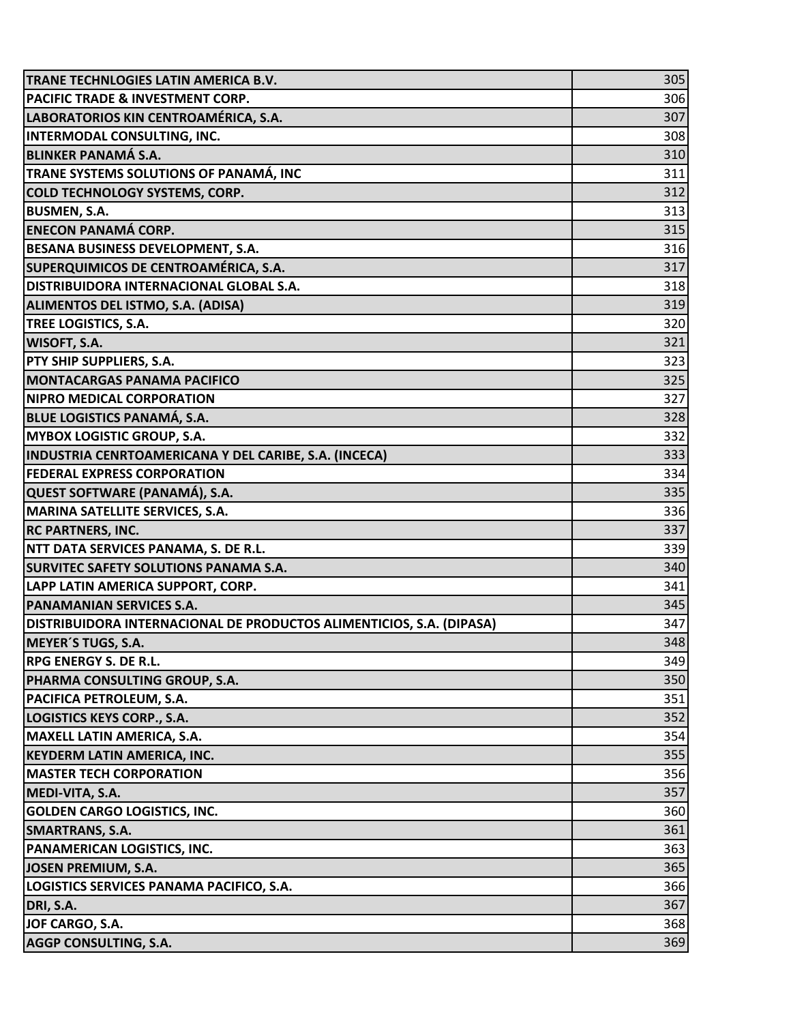| TRANE TECHNLOGIES LATIN AMERICA B.V.                                 | 305 |
|----------------------------------------------------------------------|-----|
| <b>PACIFIC TRADE &amp; INVESTMENT CORP.</b>                          | 306 |
| LABORATORIOS KIN CENTROAMÉRICA, S.A.                                 | 307 |
| INTERMODAL CONSULTING, INC.                                          | 308 |
| <b>BLINKER PANAMÁ S.A.</b>                                           | 310 |
| TRANE SYSTEMS SOLUTIONS OF PANAMÁ, INC                               | 311 |
| <b>COLD TECHNOLOGY SYSTEMS, CORP.</b>                                | 312 |
| <b>BUSMEN, S.A.</b>                                                  | 313 |
| <b>ENECON PANAMÁ CORP.</b>                                           | 315 |
| BESANA BUSINESS DEVELOPMENT, S.A.                                    | 316 |
| SUPERQUIMICOS DE CENTROAMÉRICA, S.A.                                 | 317 |
| DISTRIBUIDORA INTERNACIONAL GLOBAL S.A.                              | 318 |
| ALIMENTOS DEL ISTMO, S.A. (ADISA)                                    | 319 |
| TREE LOGISTICS, S.A.                                                 | 320 |
| WISOFT, S.A.                                                         | 321 |
| PTY SHIP SUPPLIERS, S.A.                                             | 323 |
| <b>MONTACARGAS PANAMA PACIFICO</b>                                   | 325 |
| <b>NIPRO MEDICAL CORPORATION</b>                                     | 327 |
| <b>BLUE LOGISTICS PANAMÁ, S.A.</b>                                   | 328 |
| <b>MYBOX LOGISTIC GROUP, S.A.</b>                                    | 332 |
| INDUSTRIA CENRTOAMERICANA Y DEL CARIBE, S.A. (INCECA)                | 333 |
| <b>FEDERAL EXPRESS CORPORATION</b>                                   | 334 |
| QUEST SOFTWARE (PANAMÁ), S.A.                                        | 335 |
| MARINA SATELLITE SERVICES, S.A.                                      | 336 |
| <b>RC PARTNERS, INC.</b>                                             | 337 |
| NTT DATA SERVICES PANAMA, S. DE R.L.                                 | 339 |
| SURVITEC SAFETY SOLUTIONS PANAMA S.A.                                | 340 |
| LAPP LATIN AMERICA SUPPORT, CORP.                                    | 341 |
| <b>PANAMANIAN SERVICES S.A.</b>                                      | 345 |
| DISTRIBUIDORA INTERNACIONAL DE PRODUCTOS ALIMENTICIOS, S.A. (DIPASA) | 347 |
| <b>MEYER'S TUGS, S.A.</b>                                            | 348 |
| RPG ENERGY S. DE R.L.                                                | 349 |
| PHARMA CONSULTING GROUP, S.A.                                        | 350 |
| PACIFICA PETROLEUM, S.A.                                             | 351 |
| LOGISTICS KEYS CORP., S.A.                                           | 352 |
| <b>MAXELL LATIN AMERICA, S.A.</b>                                    | 354 |
| KEYDERM LATIN AMERICA, INC.                                          | 355 |
| <b>MASTER TECH CORPORATION</b>                                       | 356 |
| MEDI-VITA, S.A.                                                      | 357 |
| <b>GOLDEN CARGO LOGISTICS, INC.</b>                                  | 360 |
| <b>SMARTRANS, S.A.</b>                                               | 361 |
| PANAMERICAN LOGISTICS, INC.                                          | 363 |
| <b>JOSEN PREMIUM, S.A.</b>                                           | 365 |
| LOGISTICS SERVICES PANAMA PACIFICO, S.A.                             | 366 |
| DRI, S.A.                                                            | 367 |
| JOF CARGO, S.A.                                                      | 368 |
| AGGP CONSULTING, S.A.                                                | 369 |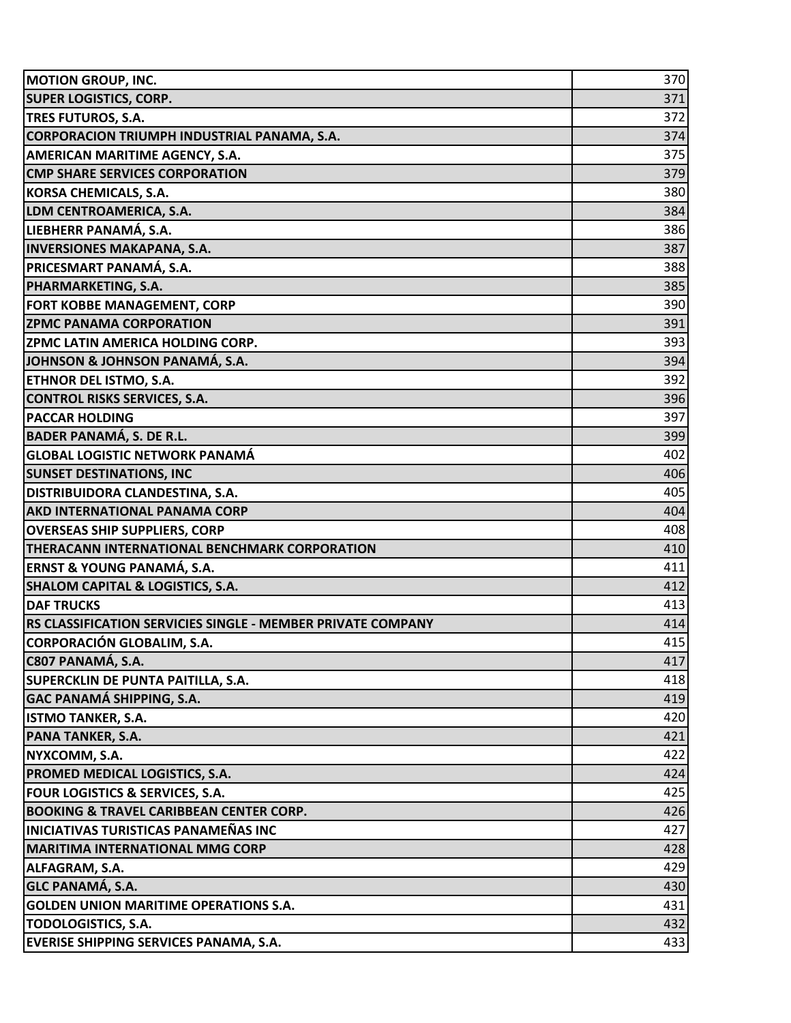| <b>MOTION GROUP, INC.</b>                                   | 370 |
|-------------------------------------------------------------|-----|
| <b>SUPER LOGISTICS, CORP.</b>                               | 371 |
| <b>TRES FUTUROS, S.A.</b>                                   | 372 |
| CORPORACION TRIUMPH INDUSTRIAL PANAMA, S.A.                 | 374 |
| <b>AMERICAN MARITIME AGENCY, S.A.</b>                       | 375 |
| <b>CMP SHARE SERVICES CORPORATION</b>                       | 379 |
| <b>KORSA CHEMICALS, S.A.</b>                                | 380 |
| LDM CENTROAMERICA, S.A.                                     | 384 |
| LIEBHERR PANAMÁ, S.A.                                       | 386 |
| <b>INVERSIONES MAKAPANA, S.A.</b>                           | 387 |
| <b>PRICESMART PANAMÁ, S.A.</b>                              | 388 |
| PHARMARKETING, S.A.                                         | 385 |
| <b>FORT KOBBE MANAGEMENT, CORP</b>                          | 390 |
| <b>ZPMC PANAMA CORPORATION</b>                              | 391 |
| <b>ZPMC LATIN AMERICA HOLDING CORP.</b>                     | 393 |
| JOHNSON & JOHNSON PANAMÁ, S.A.                              | 394 |
| <b>ETHNOR DEL ISTMO, S.A.</b>                               | 392 |
| <b>CONTROL RISKS SERVICES, S.A.</b>                         | 396 |
| <b>PACCAR HOLDING</b>                                       | 397 |
| <b>BADER PANAMÁ, S. DE R.L.</b>                             | 399 |
| <b>GLOBAL LOGISTIC NETWORK PANAMÁ</b>                       | 402 |
| <b>SUNSET DESTINATIONS, INC</b>                             | 406 |
| <b>DISTRIBUIDORA CLANDESTINA, S.A.</b>                      | 405 |
| <b>AKD INTERNATIONAL PANAMA CORP</b>                        | 404 |
| <b>OVERSEAS SHIP SUPPLIERS, CORP</b>                        | 408 |
| THERACANN INTERNATIONAL BENCHMARK CORPORATION               | 410 |
| ERNST & YOUNG PANAMÁ, S.A.                                  | 411 |
| <b>SHALOM CAPITAL &amp; LOGISTICS, S.A.</b>                 | 412 |
| <b>DAF TRUCKS</b>                                           | 413 |
| RS CLASSIFICATION SERVICIES SINGLE - MEMBER PRIVATE COMPANY | 414 |
| <b>CORPORACIÓN GLOBALIM, S.A.</b>                           | 415 |
| C807 PANAMÁ, S.A.                                           | 417 |
| SUPERCKLIN DE PUNTA PAITILLA, S.A.                          | 418 |
| <b>GAC PANAMÁ SHIPPING, S.A.</b>                            | 419 |
| <b>ISTMO TANKER, S.A.</b>                                   | 420 |
| <b>PANA TANKER, S.A.</b>                                    | 421 |
| NYXCOMM, S.A.                                               | 422 |
| PROMED MEDICAL LOGISTICS, S.A.                              | 424 |
| FOUR LOGISTICS & SERVICES, S.A.                             | 425 |
| <b>BOOKING &amp; TRAVEL CARIBBEAN CENTER CORP.</b>          | 426 |
| <b>INICIATIVAS TURISTICAS PANAMEÑAS INC</b>                 | 427 |
| <b>MARITIMA INTERNATIONAL MMG CORP</b>                      | 428 |
| ALFAGRAM, S.A.                                              | 429 |
| <b>GLC PANAMÁ, S.A.</b>                                     | 430 |
| <b>GOLDEN UNION MARITIME OPERATIONS S.A.</b>                | 431 |
| <b>TODOLOGISTICS, S.A.</b>                                  | 432 |
| EVERISE SHIPPING SERVICES PANAMA, S.A.                      | 433 |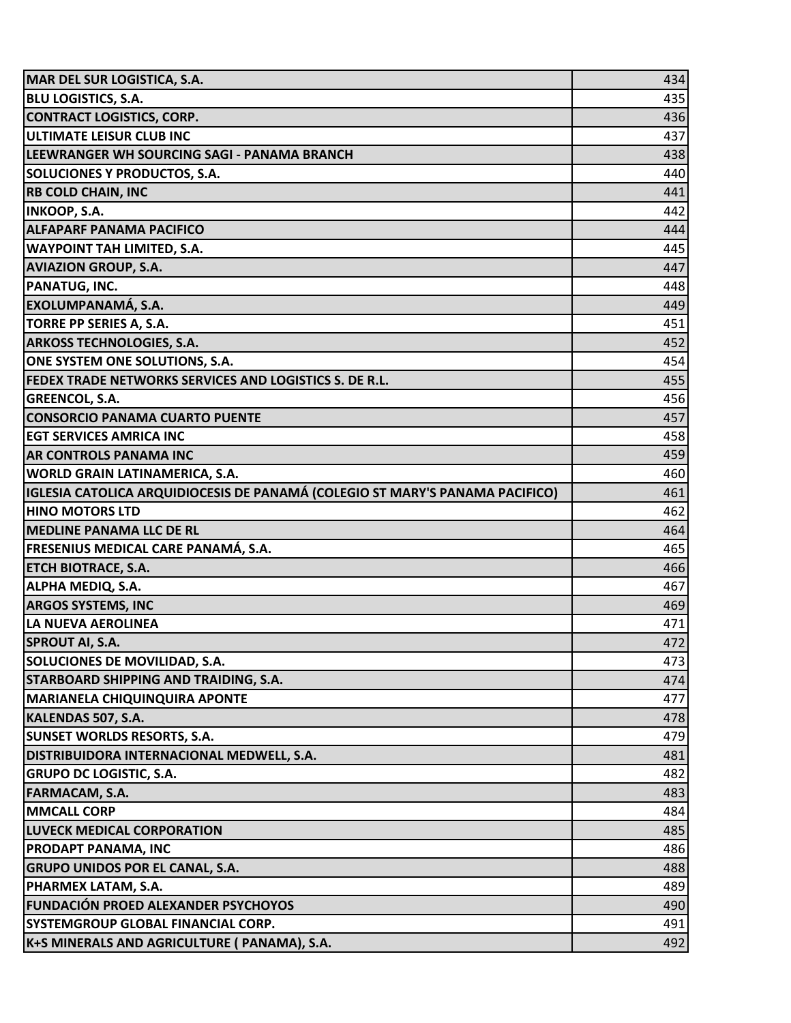| MAR DEL SUR LOGISTICA, S.A.                                                  | 434 |
|------------------------------------------------------------------------------|-----|
| <b>BLU LOGISTICS, S.A.</b>                                                   | 435 |
| <b>CONTRACT LOGISTICS, CORP.</b>                                             | 436 |
| <b>ULTIMATE LEISUR CLUB INC</b>                                              | 437 |
| LEEWRANGER WH SOURCING SAGI - PANAMA BRANCH                                  | 438 |
| <b>SOLUCIONES Y PRODUCTOS, S.A.</b>                                          | 440 |
| <b>RB COLD CHAIN, INC</b>                                                    | 441 |
| <b>INKOOP, S.A.</b>                                                          | 442 |
| <b>ALFAPARF PANAMA PACIFICO</b>                                              | 444 |
| <b>WAYPOINT TAH LIMITED, S.A.</b>                                            | 445 |
| <b>AVIAZION GROUP, S.A.</b>                                                  | 447 |
| PANATUG, INC.                                                                | 448 |
| <b>EXOLUMPANAMÁ, S.A.</b>                                                    | 449 |
| TORRE PP SERIES A, S.A.                                                      | 451 |
| <b>ARKOSS TECHNOLOGIES, S.A.</b>                                             | 452 |
| ONE SYSTEM ONE SOLUTIONS, S.A.                                               | 454 |
| FEDEX TRADE NETWORKS SERVICES AND LOGISTICS S. DE R.L.                       | 455 |
| <b>GREENCOL, S.A.</b>                                                        | 456 |
| <b>CONSORCIO PANAMA CUARTO PUENTE</b>                                        | 457 |
| <b>EGT SERVICES AMRICA INC</b>                                               | 458 |
| <b>AR CONTROLS PANAMA INC</b>                                                | 459 |
| WORLD GRAIN LATINAMERICA, S.A.                                               | 460 |
| IGLESIA CATOLICA ARQUIDIOCESIS DE PANAMÁ (COLEGIO ST MARY'S PANAMA PACIFICO) | 461 |
| <b>HINO MOTORS LTD</b>                                                       | 462 |
| <b>MEDLINE PANAMA LLC DE RL</b>                                              | 464 |
| FRESENIUS MEDICAL CARE PANAMÁ, S.A.                                          | 465 |
| <b>ETCH BIOTRACE, S.A.</b>                                                   | 466 |
| ALPHA MEDIQ, S.A.                                                            | 467 |
| <b>ARGOS SYSTEMS, INC</b>                                                    | 469 |
| LA NUEVA AEROLINEA                                                           | 471 |
| <b>SPROUT AI, S.A.</b>                                                       | 472 |
| SOLUCIONES DE MOVILIDAD, S.A.                                                | 473 |
| STARBOARD SHIPPING AND TRAIDING, S.A.                                        | 474 |
| <b>MARIANELA CHIQUINQUIRA APONTE</b>                                         | 477 |
| KALENDAS 507, S.A.                                                           | 478 |
| <b>SUNSET WORLDS RESORTS, S.A.</b>                                           | 479 |
| DISTRIBUIDORA INTERNACIONAL MEDWELL, S.A.                                    | 481 |
| <b>GRUPO DC LOGISTIC, S.A.</b>                                               | 482 |
| <b>FARMACAM, S.A.</b>                                                        | 483 |
| <b>MMCALL CORP</b>                                                           | 484 |
| <b>LUVECK MEDICAL CORPORATION</b>                                            | 485 |
| <b>PRODAPT PANAMA, INC</b>                                                   | 486 |
| <b>GRUPO UNIDOS POR EL CANAL, S.A.</b>                                       | 488 |
| PHARMEX LATAM, S.A.                                                          | 489 |
| <b>FUNDACIÓN PROED ALEXANDER PSYCHOYOS</b>                                   | 490 |
| SYSTEMGROUP GLOBAL FINANCIAL CORP.                                           | 491 |
| K+S MINERALS AND AGRICULTURE ( PANAMA), S.A.                                 | 492 |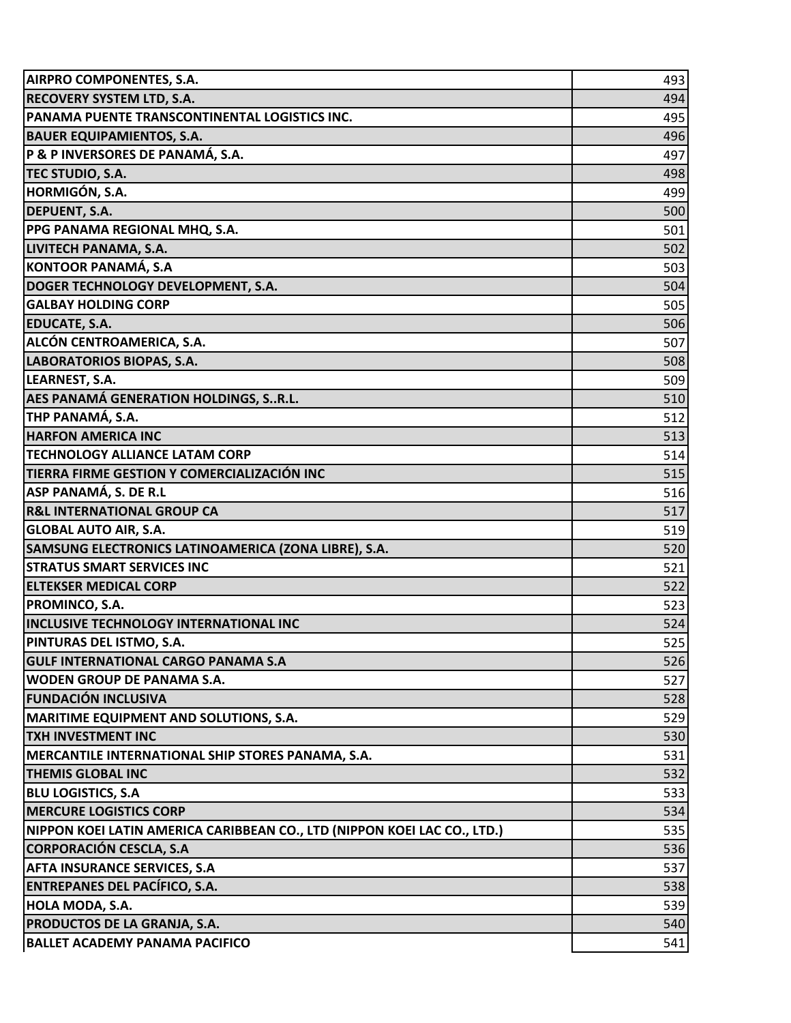| <b>AIRPRO COMPONENTES, S.A.</b>                                          | 493 |
|--------------------------------------------------------------------------|-----|
| <b>RECOVERY SYSTEM LTD, S.A.</b>                                         | 494 |
| PANAMA PUENTE TRANSCONTINENTAL LOGISTICS INC.                            | 495 |
| <b>BAUER EQUIPAMIENTOS, S.A.</b>                                         | 496 |
| P & P INVERSORES DE PANAMÁ, S.A.                                         | 497 |
| TEC STUDIO, S.A.                                                         | 498 |
| HORMIGÓN, S.A.                                                           | 499 |
| <b>DEPUENT, S.A.</b>                                                     | 500 |
| PPG PANAMA REGIONAL MHQ, S.A.                                            | 501 |
| LIVITECH PANAMA, S.A.                                                    | 502 |
| KONTOOR PANAMÁ, S.A                                                      | 503 |
| DOGER TECHNOLOGY DEVELOPMENT, S.A.                                       | 504 |
| <b>GALBAY HOLDING CORP</b>                                               | 505 |
| <b>EDUCATE, S.A.</b>                                                     | 506 |
| ALCÓN CENTROAMERICA, S.A.                                                | 507 |
| <b>LABORATORIOS BIOPAS, S.A.</b>                                         | 508 |
| LEARNEST, S.A.                                                           | 509 |
| <b>AES PANAMÁ GENERATION HOLDINGS, SR.L.</b>                             | 510 |
| THP PANAMÁ, S.A.                                                         | 512 |
| <b>HARFON AMERICA INC</b>                                                | 513 |
| <b>TECHNOLOGY ALLIANCE LATAM CORP</b>                                    | 514 |
| TIERRA FIRME GESTION Y COMERCIALIZACIÓN INC                              | 515 |
| ASP PANAMÁ, S. DE R.L                                                    | 516 |
| <b>R&amp;L INTERNATIONAL GROUP CA</b>                                    | 517 |
| <b>GLOBAL AUTO AIR, S.A.</b>                                             | 519 |
| SAMSUNG ELECTRONICS LATINOAMERICA (ZONA LIBRE), S.A.                     | 520 |
| <b>STRATUS SMART SERVICES INC</b>                                        | 521 |
| <b>ELTEKSER MEDICAL CORP</b>                                             | 522 |
| <b>PROMINCO, S.A.</b>                                                    | 523 |
| <b>INCLUSIVE TECHNOLOGY INTERNATIONAL INC</b>                            | 524 |
| PINTURAS DEL ISTMO, S.A.                                                 | 525 |
| <b>GULF INTERNATIONAL CARGO PANAMA S.A</b>                               | 526 |
| <b>WODEN GROUP DE PANAMA S.A.</b>                                        | 527 |
| <b>FUNDACIÓN INCLUSIVA</b>                                               | 528 |
| MARITIME EQUIPMENT AND SOLUTIONS, S.A.                                   | 529 |
| <b>TXH INVESTMENT INC</b>                                                | 530 |
| MERCANTILE INTERNATIONAL SHIP STORES PANAMA, S.A.                        | 531 |
| <b>THEMIS GLOBAL INC</b>                                                 | 532 |
| <b>BLU LOGISTICS, S.A</b>                                                | 533 |
| <b>MERCURE LOGISTICS CORP</b>                                            | 534 |
| NIPPON KOEI LATIN AMERICA CARIBBEAN CO., LTD (NIPPON KOEI LAC CO., LTD.) | 535 |
| CORPORACIÓN CESCLA, S.A                                                  | 536 |
| <b>AFTA INSURANCE SERVICES, S.A</b>                                      | 537 |
| <b>ENTREPANES DEL PACÍFICO, S.A.</b>                                     | 538 |
| HOLA MODA, S.A.                                                          | 539 |
| PRODUCTOS DE LA GRANJA, S.A.                                             | 540 |
| <b>BALLET ACADEMY PANAMA PACIFICO</b>                                    | 541 |